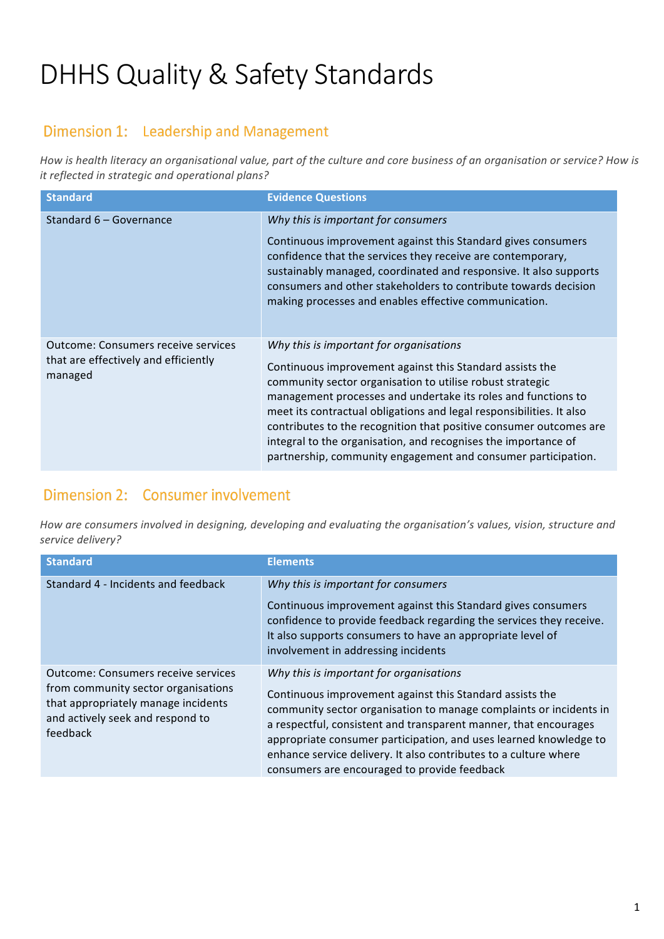# DHHS Quality & Safety Standards

## Dimension 1: Leadership and Management

How is health literacy an organisational value, part of the culture and core business of an organisation or service? How is *it reflected in strategic and operational plans?* 

| <b>Standard</b>                                                                               | <b>Evidence Questions</b>                                                                                                                                                                                                                                                                                                                                                                                                                                                                                          |
|-----------------------------------------------------------------------------------------------|--------------------------------------------------------------------------------------------------------------------------------------------------------------------------------------------------------------------------------------------------------------------------------------------------------------------------------------------------------------------------------------------------------------------------------------------------------------------------------------------------------------------|
| Standard 6 - Governance                                                                       | Why this is important for consumers<br>Continuous improvement against this Standard gives consumers<br>confidence that the services they receive are contemporary,<br>sustainably managed, coordinated and responsive. It also supports<br>consumers and other stakeholders to contribute towards decision<br>making processes and enables effective communication.                                                                                                                                                |
| <b>Outcome: Consumers receive services</b><br>that are effectively and efficiently<br>managed | Why this is important for organisations<br>Continuous improvement against this Standard assists the<br>community sector organisation to utilise robust strategic<br>management processes and undertake its roles and functions to<br>meet its contractual obligations and legal responsibilities. It also<br>contributes to the recognition that positive consumer outcomes are<br>integral to the organisation, and recognises the importance of<br>partnership, community engagement and consumer participation. |

## Dimension 2: Consumer involvement

How are consumers involved in designing, developing and evaluating the organisation's values, vision, structure and *service delivery?*

| <b>Standard</b>                                                                                                                                                          | <b>Elements</b>                                                                                                                                                                                                                                                                                                                                                                                                                        |
|--------------------------------------------------------------------------------------------------------------------------------------------------------------------------|----------------------------------------------------------------------------------------------------------------------------------------------------------------------------------------------------------------------------------------------------------------------------------------------------------------------------------------------------------------------------------------------------------------------------------------|
| Standard 4 - Incidents and feedback                                                                                                                                      | Why this is important for consumers<br>Continuous improvement against this Standard gives consumers<br>confidence to provide feedback regarding the services they receive.<br>It also supports consumers to have an appropriate level of<br>involvement in addressing incidents                                                                                                                                                        |
| <b>Outcome: Consumers receive services</b><br>from community sector organisations<br>that appropriately manage incidents<br>and actively seek and respond to<br>feedback | Why this is important for organisations<br>Continuous improvement against this Standard assists the<br>community sector organisation to manage complaints or incidents in<br>a respectful, consistent and transparent manner, that encourages<br>appropriate consumer participation, and uses learned knowledge to<br>enhance service delivery. It also contributes to a culture where<br>consumers are encouraged to provide feedback |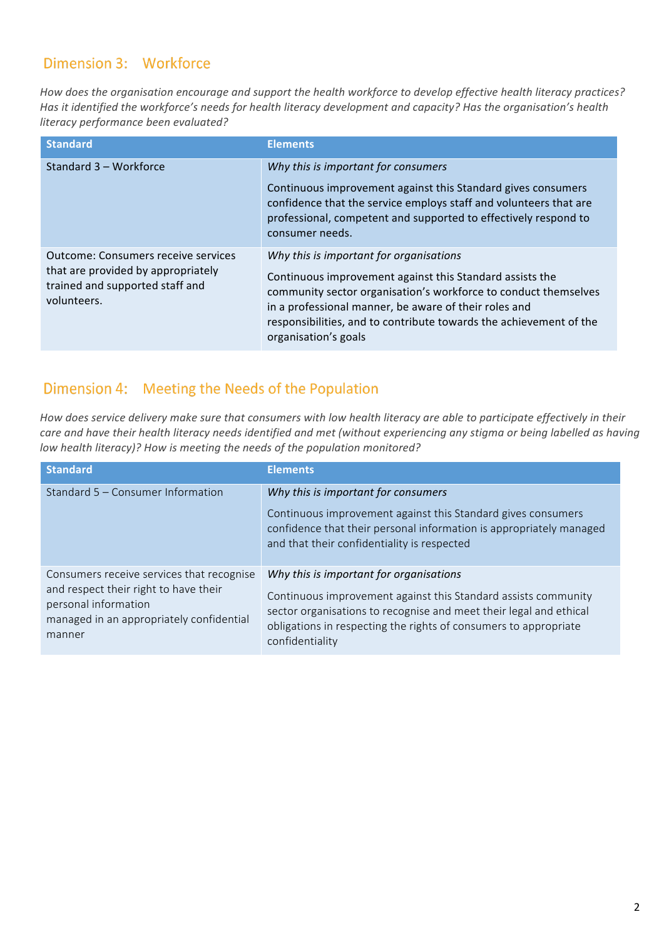#### Dimension 3: Workforce

How does the organisation encourage and support the health workforce to develop effective health literacy practices? Has it identified the workforce's needs for health literacy development and capacity? Has the organisation's health *literacy performance been evaluated?*

| <b>Standard</b>                                                                                                                    | <b>Elements</b>                                                                                                                                                                                                                                                                                                               |
|------------------------------------------------------------------------------------------------------------------------------------|-------------------------------------------------------------------------------------------------------------------------------------------------------------------------------------------------------------------------------------------------------------------------------------------------------------------------------|
| Standard 3 - Workforce                                                                                                             | Why this is important for consumers<br>Continuous improvement against this Standard gives consumers<br>confidence that the service employs staff and volunteers that are<br>professional, competent and supported to effectively respond to<br>consumer needs.                                                                |
| <b>Outcome: Consumers receive services</b><br>that are provided by appropriately<br>trained and supported staff and<br>volunteers. | Why this is important for organisations<br>Continuous improvement against this Standard assists the<br>community sector organisation's workforce to conduct themselves<br>in a professional manner, be aware of their roles and<br>responsibilities, and to contribute towards the achievement of the<br>organisation's goals |

# Dimension 4: Meeting the Needs of the Population

How does service delivery make sure that consumers with low health literacy are able to participate effectively in their care and have their health literacy needs identified and met (without experiencing any stigma or being labelled as having *low health literacy)?* How is meeting the needs of the population monitored?

| <b>Standard</b>                                                                                                                                                  | <b>Elements</b>                                                                                                                                                                                                                                                        |
|------------------------------------------------------------------------------------------------------------------------------------------------------------------|------------------------------------------------------------------------------------------------------------------------------------------------------------------------------------------------------------------------------------------------------------------------|
| Standard 5 - Consumer Information                                                                                                                                | Why this is important for consumers<br>Continuous improvement against this Standard gives consumers<br>confidence that their personal information is appropriately managed<br>and that their confidentiality is respected                                              |
| Consumers receive services that recognise<br>and respect their right to have their<br>personal information<br>managed in an appropriately confidential<br>manner | Why this is important for organisations<br>Continuous improvement against this Standard assists community<br>sector organisations to recognise and meet their legal and ethical<br>obligations in respecting the rights of consumers to appropriate<br>confidentiality |